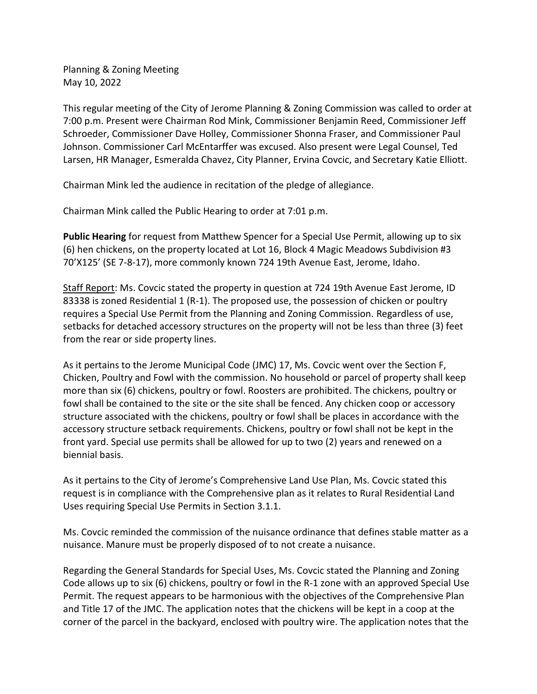Planning & Zoning Meeting May 10, 2022

This regular meeting of the City of Jerome Planning & Zoning Commission was called to order at 7:00 p.m. Present were Chairman Rod Mink, Commissioner Benjamin Reed, Commissioner Jeff Schroeder, Commissioner Dave Holley, Commissioner Shonna Fraser, and Commissioner Paul Johnson. Commissioner Carl McEntarffer was excused. Also present were Legal Counsel, Ted Larsen, HR Manager, Esmeralda Chavez, City Planner, Ervina Covcic, and Secretary Katie Elliott.

Chairman Mink led the audience in recitation of the pledge of allegiance.

Chairman Mink called the Public Hearing to order at 7:01 p.m.

**Public Hearing** for request from Matthew Spencer for a Special Use Permit, allowing up to six (6) hen chickens, on the property located at Lot 16, Block 4 Magic Meadows Subdivision #3 70'X125' (SE 7-8-17), more commonly known 724 19th Avenue East, Jerome, Idaho.

Staff Report: Ms. Covcic stated the property in question at 724 19th Avenue East Jerome, ID 83338 is zoned Residential 1 (R-1). The proposed use, the possession of chicken or poultry requires a Special Use Permit from the Planning and Zoning Commission. Regardless of use, setbacks for detached accessory structures on the property will not be less than three (3) feet from the rear or side property lines.

As it pertains to the Jerome Municipal Code (JMC) 17, Ms. Covcic went over the Section F, Chicken, Poultry and Fowl with the commission. No household or parcel of property shall keep more than six (6) chickens, poultry or fowl. Roosters are prohibited. The chickens, poultry or fowl shall be contained to the site or the site shall be fenced. Any chicken coop or accessory structure associated with the chickens, poultry or fowl shall be places in accordance with the accessory structure setback requirements. Chickens, poultry or fowl shall not be kept in the front yard. Special use permits shall be allowed for up to two (2) years and renewed on a biennial basis.

As it pertains to the City of Jerome's Comprehensive Land Use Plan, Ms. Covcic stated this request is in compliance with the Comprehensive plan as it relates to Rural Residential Land Uses requiring Special Use Permits in Section 3.1.1.

Ms. Covcic reminded the commission of the nuisance ordinance that defines stable matter as a nuisance. Manure must be properly disposed of to not create a nuisance.

Regarding the General Standards for Special Uses, Ms. Covcic stated the Planning and Zoning Code allows up to six (6) chickens, poultry or fowl in the R-1 zone with an approved Special Use Permit. The request appears to be harmonious with the objectives of the Comprehensive Plan and Title 17 of the JMC. The application notes that the chickens will be kept in a coop at the corner of the parcel in the backyard, enclosed with poultry wire. The application notes that the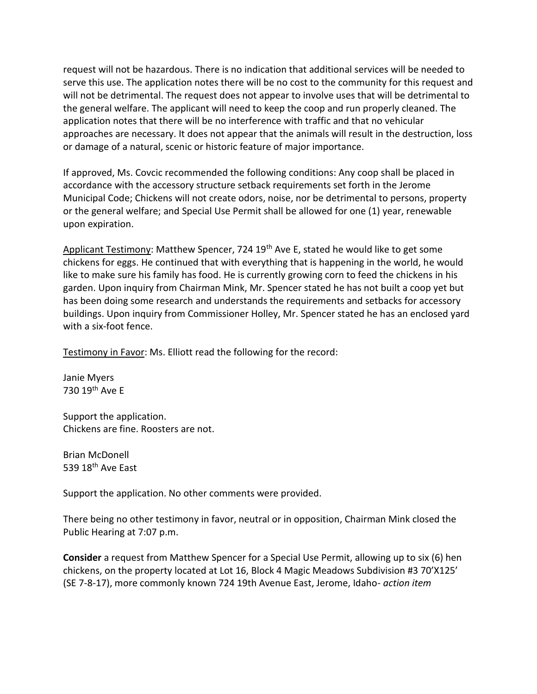request will not be hazardous. There is no indication that additional services will be needed to serve this use. The application notes there will be no cost to the community for this request and will not be detrimental. The request does not appear to involve uses that will be detrimental to the general welfare. The applicant will need to keep the coop and run properly cleaned. The application notes that there will be no interference with traffic and that no vehicular approaches are necessary. It does not appear that the animals will result in the destruction, loss or damage of a natural, scenic or historic feature of major importance.

If approved, Ms. Covcic recommended the following conditions: Any coop shall be placed in accordance with the accessory structure setback requirements set forth in the Jerome Municipal Code; Chickens will not create odors, noise, nor be detrimental to persons, property or the general welfare; and Special Use Permit shall be allowed for one (1) year, renewable upon expiration.

Applicant Testimony: Matthew Spencer, 724 19<sup>th</sup> Ave E, stated he would like to get some chickens for eggs. He continued that with everything that is happening in the world, he would like to make sure his family has food. He is currently growing corn to feed the chickens in his garden. Upon inquiry from Chairman Mink, Mr. Spencer stated he has not built a coop yet but has been doing some research and understands the requirements and setbacks for accessory buildings. Upon inquiry from Commissioner Holley, Mr. Spencer stated he has an enclosed yard with a six-foot fence.

Testimony in Favor: Ms. Elliott read the following for the record:

Janie Myers 730 19th Ave E

Support the application. Chickens are fine. Roosters are not.

Brian McDonell 539 18<sup>th</sup> Ave East

Support the application. No other comments were provided.

There being no other testimony in favor, neutral or in opposition, Chairman Mink closed the Public Hearing at 7:07 p.m.

**Consider** a request from Matthew Spencer for a Special Use Permit, allowing up to six (6) hen chickens, on the property located at Lot 16, Block 4 Magic Meadows Subdivision #3 70'X125' (SE 7-8-17), more commonly known 724 19th Avenue East, Jerome, Idaho- *action item*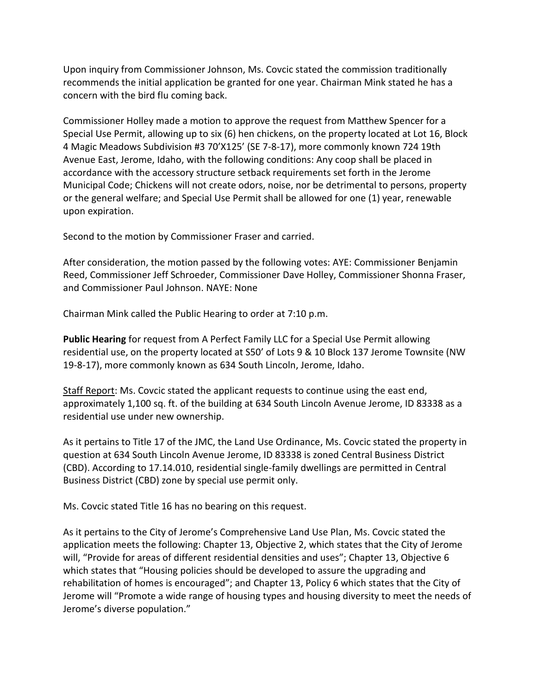Upon inquiry from Commissioner Johnson, Ms. Covcic stated the commission traditionally recommends the initial application be granted for one year. Chairman Mink stated he has a concern with the bird flu coming back.

Commissioner Holley made a motion to approve the request from Matthew Spencer for a Special Use Permit, allowing up to six (6) hen chickens, on the property located at Lot 16, Block 4 Magic Meadows Subdivision #3 70'X125' (SE 7-8-17), more commonly known 724 19th Avenue East, Jerome, Idaho, with the following conditions: Any coop shall be placed in accordance with the accessory structure setback requirements set forth in the Jerome Municipal Code; Chickens will not create odors, noise, nor be detrimental to persons, property or the general welfare; and Special Use Permit shall be allowed for one (1) year, renewable upon expiration.

Second to the motion by Commissioner Fraser and carried.

After consideration, the motion passed by the following votes: AYE: Commissioner Benjamin Reed, Commissioner Jeff Schroeder, Commissioner Dave Holley, Commissioner Shonna Fraser, and Commissioner Paul Johnson. NAYE: None

Chairman Mink called the Public Hearing to order at 7:10 p.m.

**Public Hearing** for request from A Perfect Family LLC for a Special Use Permit allowing residential use, on the property located at S50' of Lots 9 & 10 Block 137 Jerome Townsite (NW 19-8-17), more commonly known as 634 South Lincoln, Jerome, Idaho.

Staff Report: Ms. Covcic stated the applicant requests to continue using the east end, approximately 1,100 sq. ft. of the building at 634 South Lincoln Avenue Jerome, ID 83338 as a residential use under new ownership.

As it pertains to Title 17 of the JMC, the Land Use Ordinance, Ms. Covcic stated the property in question at 634 South Lincoln Avenue Jerome, ID 83338 is zoned Central Business District (CBD). According to 17.14.010, residential single-family dwellings are permitted in Central Business District (CBD) zone by special use permit only.

Ms. Covcic stated Title 16 has no bearing on this request.

As it pertains to the City of Jerome's Comprehensive Land Use Plan, Ms. Covcic stated the application meets the following: Chapter 13, Objective 2, which states that the City of Jerome will, "Provide for areas of different residential densities and uses"; Chapter 13, Objective 6 which states that "Housing policies should be developed to assure the upgrading and rehabilitation of homes is encouraged"; and Chapter 13, Policy 6 which states that the City of Jerome will "Promote a wide range of housing types and housing diversity to meet the needs of Jerome's diverse population."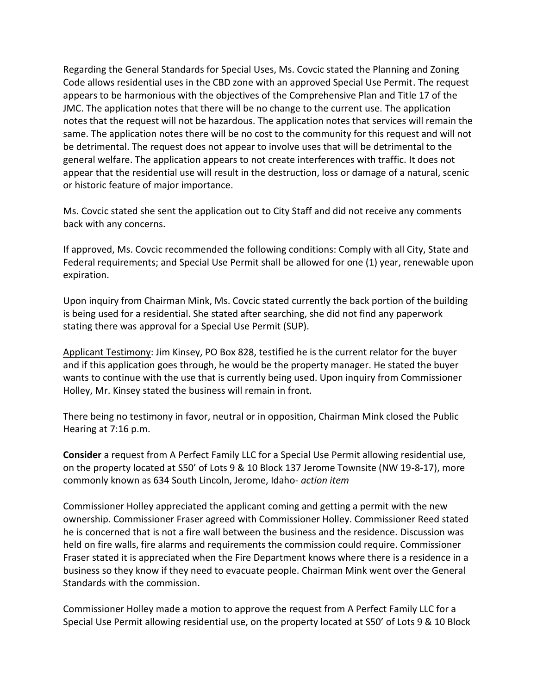Regarding the General Standards for Special Uses, Ms. Covcic stated the Planning and Zoning Code allows residential uses in the CBD zone with an approved Special Use Permit. The request appears to be harmonious with the objectives of the Comprehensive Plan and Title 17 of the JMC. The application notes that there will be no change to the current use. The application notes that the request will not be hazardous. The application notes that services will remain the same. The application notes there will be no cost to the community for this request and will not be detrimental. The request does not appear to involve uses that will be detrimental to the general welfare. The application appears to not create interferences with traffic. It does not appear that the residential use will result in the destruction, loss or damage of a natural, scenic or historic feature of major importance.

Ms. Covcic stated she sent the application out to City Staff and did not receive any comments back with any concerns.

If approved, Ms. Covcic recommended the following conditions: Comply with all City, State and Federal requirements; and Special Use Permit shall be allowed for one (1) year, renewable upon expiration.

Upon inquiry from Chairman Mink, Ms. Covcic stated currently the back portion of the building is being used for a residential. She stated after searching, she did not find any paperwork stating there was approval for a Special Use Permit (SUP).

Applicant Testimony: Jim Kinsey, PO Box 828, testified he is the current relator for the buyer and if this application goes through, he would be the property manager. He stated the buyer wants to continue with the use that is currently being used. Upon inquiry from Commissioner Holley, Mr. Kinsey stated the business will remain in front.

There being no testimony in favor, neutral or in opposition, Chairman Mink closed the Public Hearing at 7:16 p.m.

**Consider** a request from A Perfect Family LLC for a Special Use Permit allowing residential use, on the property located at S50' of Lots 9 & 10 Block 137 Jerome Townsite (NW 19-8-17), more commonly known as 634 South Lincoln, Jerome, Idaho- *action item*

Commissioner Holley appreciated the applicant coming and getting a permit with the new ownership. Commissioner Fraser agreed with Commissioner Holley. Commissioner Reed stated he is concerned that is not a fire wall between the business and the residence. Discussion was held on fire walls, fire alarms and requirements the commission could require. Commissioner Fraser stated it is appreciated when the Fire Department knows where there is a residence in a business so they know if they need to evacuate people. Chairman Mink went over the General Standards with the commission.

Commissioner Holley made a motion to approve the request from A Perfect Family LLC for a Special Use Permit allowing residential use, on the property located at S50' of Lots 9 & 10 Block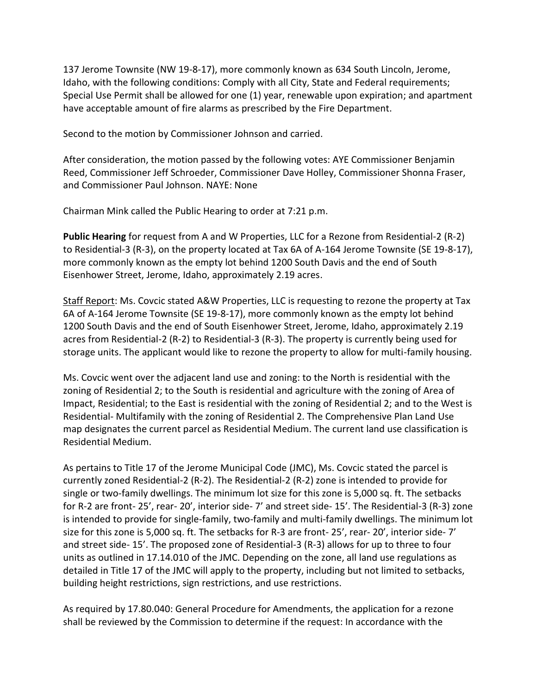137 Jerome Townsite (NW 19-8-17), more commonly known as 634 South Lincoln, Jerome, Idaho, with the following conditions: Comply with all City, State and Federal requirements; Special Use Permit shall be allowed for one (1) year, renewable upon expiration; and apartment have acceptable amount of fire alarms as prescribed by the Fire Department.

Second to the motion by Commissioner Johnson and carried.

After consideration, the motion passed by the following votes: AYE Commissioner Benjamin Reed, Commissioner Jeff Schroeder, Commissioner Dave Holley, Commissioner Shonna Fraser, and Commissioner Paul Johnson. NAYE: None

Chairman Mink called the Public Hearing to order at 7:21 p.m.

**Public Hearing** for request from A and W Properties, LLC for a Rezone from Residential-2 (R-2) to Residential-3 (R-3), on the property located at Tax 6A of A-164 Jerome Townsite (SE 19-8-17), more commonly known as the empty lot behind 1200 South Davis and the end of South Eisenhower Street, Jerome, Idaho, approximately 2.19 acres.

Staff Report: Ms. Covcic stated A&W Properties, LLC is requesting to rezone the property at Tax 6A of A-164 Jerome Townsite (SE 19-8-17), more commonly known as the empty lot behind 1200 South Davis and the end of South Eisenhower Street, Jerome, Idaho, approximately 2.19 acres from Residential-2 (R-2) to Residential-3 (R-3). The property is currently being used for storage units. The applicant would like to rezone the property to allow for multi-family housing.

Ms. Covcic went over the adjacent land use and zoning: to the North is residential with the zoning of Residential 2; to the South is residential and agriculture with the zoning of Area of Impact, Residential; to the East is residential with the zoning of Residential 2; and to the West is Residential- Multifamily with the zoning of Residential 2. The Comprehensive Plan Land Use map designates the current parcel as Residential Medium. The current land use classification is Residential Medium.

As pertains to Title 17 of the Jerome Municipal Code (JMC), Ms. Covcic stated the parcel is currently zoned Residential-2 (R-2). The Residential-2 (R-2) zone is intended to provide for single or two-family dwellings. The minimum lot size for this zone is 5,000 sq. ft. The setbacks for R-2 are front- 25', rear- 20', interior side- 7' and street side- 15'. The Residential-3 (R-3) zone is intended to provide for single-family, two-family and multi-family dwellings. The minimum lot size for this zone is 5,000 sq. ft. The setbacks for R-3 are front- 25', rear- 20', interior side- 7' and street side- 15'. The proposed zone of Residential-3 (R-3) allows for up to three to four units as outlined in 17.14.010 of the JMC. Depending on the zone, all land use regulations as detailed in Title 17 of the JMC will apply to the property, including but not limited to setbacks, building height restrictions, sign restrictions, and use restrictions.

As required by 17.80.040: General Procedure for Amendments, the application for a rezone shall be reviewed by the Commission to determine if the request: In accordance with the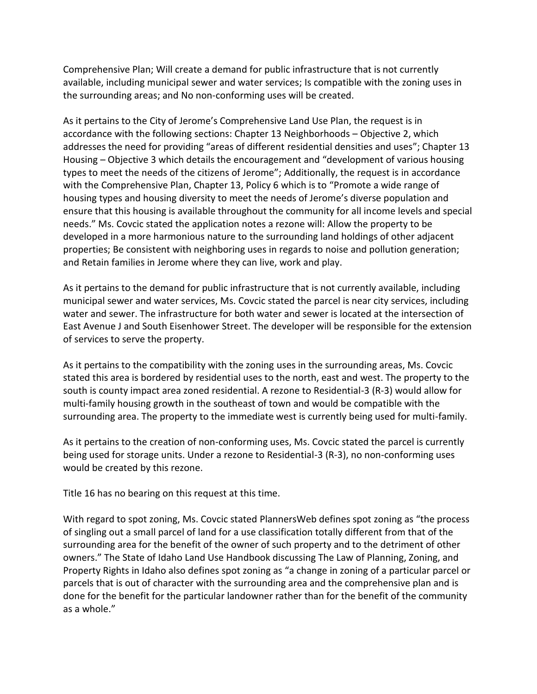Comprehensive Plan; Will create a demand for public infrastructure that is not currently available, including municipal sewer and water services; Is compatible with the zoning uses in the surrounding areas; and No non-conforming uses will be created.

As it pertains to the City of Jerome's Comprehensive Land Use Plan, the request is in accordance with the following sections: Chapter 13 Neighborhoods – Objective 2, which addresses the need for providing "areas of different residential densities and uses"; Chapter 13 Housing – Objective 3 which details the encouragement and "development of various housing types to meet the needs of the citizens of Jerome"; Additionally, the request is in accordance with the Comprehensive Plan, Chapter 13, Policy 6 which is to "Promote a wide range of housing types and housing diversity to meet the needs of Jerome's diverse population and ensure that this housing is available throughout the community for all income levels and special needs." Ms. Covcic stated the application notes a rezone will: Allow the property to be developed in a more harmonious nature to the surrounding land holdings of other adjacent properties; Be consistent with neighboring uses in regards to noise and pollution generation; and Retain families in Jerome where they can live, work and play.

As it pertains to the demand for public infrastructure that is not currently available, including municipal sewer and water services, Ms. Covcic stated the parcel is near city services, including water and sewer. The infrastructure for both water and sewer is located at the intersection of East Avenue J and South Eisenhower Street. The developer will be responsible for the extension of services to serve the property.

As it pertains to the compatibility with the zoning uses in the surrounding areas, Ms. Covcic stated this area is bordered by residential uses to the north, east and west. The property to the south is county impact area zoned residential. A rezone to Residential-3 (R-3) would allow for multi-family housing growth in the southeast of town and would be compatible with the surrounding area. The property to the immediate west is currently being used for multi-family.

As it pertains to the creation of non-conforming uses, Ms. Covcic stated the parcel is currently being used for storage units. Under a rezone to Residential-3 (R-3), no non-conforming uses would be created by this rezone.

Title 16 has no bearing on this request at this time.

With regard to spot zoning, Ms. Covcic stated PlannersWeb defines spot zoning as "the process of singling out a small parcel of land for a use classification totally different from that of the surrounding area for the benefit of the owner of such property and to the detriment of other owners." The State of Idaho Land Use Handbook discussing The Law of Planning, Zoning, and Property Rights in Idaho also defines spot zoning as "a change in zoning of a particular parcel or parcels that is out of character with the surrounding area and the comprehensive plan and is done for the benefit for the particular landowner rather than for the benefit of the community as a whole."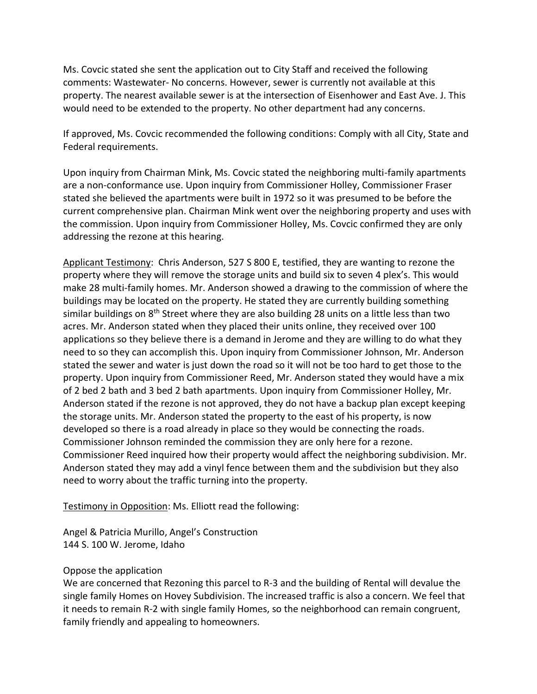Ms. Covcic stated she sent the application out to City Staff and received the following comments: Wastewater- No concerns. However, sewer is currently not available at this property. The nearest available sewer is at the intersection of Eisenhower and East Ave. J. This would need to be extended to the property. No other department had any concerns.

If approved, Ms. Covcic recommended the following conditions: Comply with all City, State and Federal requirements.

Upon inquiry from Chairman Mink, Ms. Covcic stated the neighboring multi-family apartments are a non-conformance use. Upon inquiry from Commissioner Holley, Commissioner Fraser stated she believed the apartments were built in 1972 so it was presumed to be before the current comprehensive plan. Chairman Mink went over the neighboring property and uses with the commission. Upon inquiry from Commissioner Holley, Ms. Covcic confirmed they are only addressing the rezone at this hearing.

Applicant Testimony: Chris Anderson, 527 S 800 E, testified, they are wanting to rezone the property where they will remove the storage units and build six to seven 4 plex's. This would make 28 multi-family homes. Mr. Anderson showed a drawing to the commission of where the buildings may be located on the property. He stated they are currently building something similar buildings on 8<sup>th</sup> Street where they are also building 28 units on a little less than two acres. Mr. Anderson stated when they placed their units online, they received over 100 applications so they believe there is a demand in Jerome and they are willing to do what they need to so they can accomplish this. Upon inquiry from Commissioner Johnson, Mr. Anderson stated the sewer and water is just down the road so it will not be too hard to get those to the property. Upon inquiry from Commissioner Reed, Mr. Anderson stated they would have a mix of 2 bed 2 bath and 3 bed 2 bath apartments. Upon inquiry from Commissioner Holley, Mr. Anderson stated if the rezone is not approved, they do not have a backup plan except keeping the storage units. Mr. Anderson stated the property to the east of his property, is now developed so there is a road already in place so they would be connecting the roads. Commissioner Johnson reminded the commission they are only here for a rezone. Commissioner Reed inquired how their property would affect the neighboring subdivision. Mr. Anderson stated they may add a vinyl fence between them and the subdivision but they also need to worry about the traffic turning into the property.

Testimony in Opposition: Ms. Elliott read the following:

Angel & Patricia Murillo, Angel's Construction 144 S. 100 W. Jerome, Idaho

#### Oppose the application

We are concerned that Rezoning this parcel to R-3 and the building of Rental will devalue the single family Homes on Hovey Subdivision. The increased traffic is also a concern. We feel that it needs to remain R-2 with single family Homes, so the neighborhood can remain congruent, family friendly and appealing to homeowners.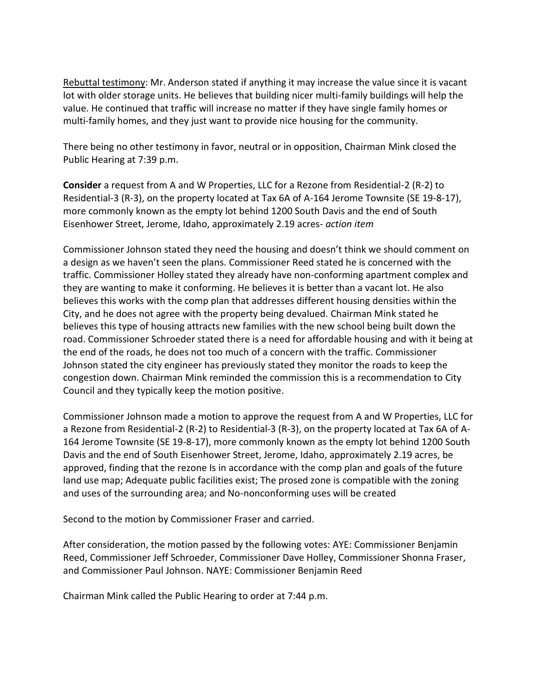Rebuttal testimony: Mr. Anderson stated if anything it may increase the value since it is vacant lot with older storage units. He believes that building nicer multi-family buildings will help the value. He continued that traffic will increase no matter if they have single family homes or multi-family homes, and they just want to provide nice housing for the community.

There being no other testimony in favor, neutral or in opposition, Chairman Mink closed the Public Hearing at 7:39 p.m.

**Consider** a request from A and W Properties, LLC for a Rezone from Residential-2 (R-2) to Residential-3 (R-3), on the property located at Tax 6A of A-164 Jerome Townsite (SE 19-8-17), more commonly known as the empty lot behind 1200 South Davis and the end of South Eisenhower Street, Jerome, Idaho, approximately 2.19 acres- *action item*

Commissioner Johnson stated they need the housing and doesn't think we should comment on a design as we haven't seen the plans. Commissioner Reed stated he is concerned with the traffic. Commissioner Holley stated they already have non-conforming apartment complex and they are wanting to make it conforming. He believes it is better than a vacant lot. He also believes this works with the comp plan that addresses different housing densities within the City, and he does not agree with the property being devalued. Chairman Mink stated he believes this type of housing attracts new families with the new school being built down the road. Commissioner Schroeder stated there is a need for affordable housing and with it being at the end of the roads, he does not too much of a concern with the traffic. Commissioner Johnson stated the city engineer has previously stated they monitor the roads to keep the congestion down. Chairman Mink reminded the commission this is a recommendation to City Council and they typically keep the motion positive.

Commissioner Johnson made a motion to approve the request from A and W Properties, LLC for a Rezone from Residential-2 (R-2) to Residential-3 (R-3), on the property located at Tax 6A of A-164 Jerome Townsite (SE 19-8-17), more commonly known as the empty lot behind 1200 South Davis and the end of South Eisenhower Street, Jerome, Idaho, approximately 2.19 acres, be approved, finding that the rezone Is in accordance with the comp plan and goals of the future land use map; Adequate public facilities exist; The prosed zone is compatible with the zoning and uses of the surrounding area; and No-nonconforming uses will be created

Second to the motion by Commissioner Fraser and carried.

After consideration, the motion passed by the following votes: AYE: Commissioner Benjamin Reed, Commissioner Jeff Schroeder, Commissioner Dave Holley, Commissioner Shonna Fraser, and Commissioner Paul Johnson. NAYE: Commissioner Benjamin Reed

Chairman Mink called the Public Hearing to order at 7:44 p.m.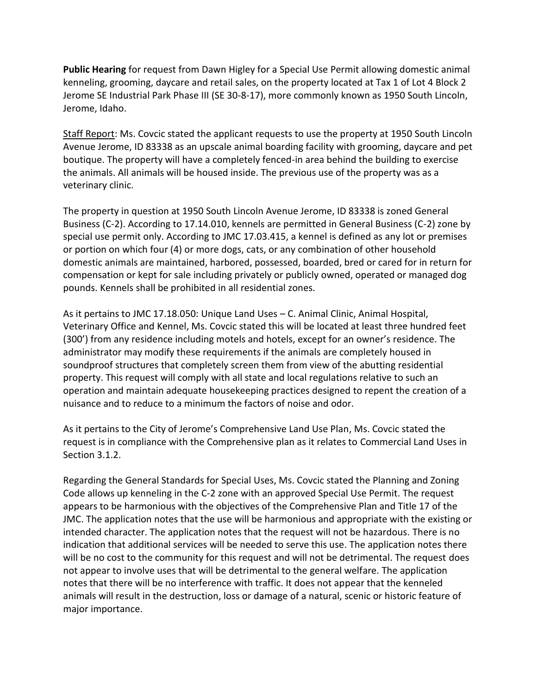**Public Hearing** for request from Dawn Higley for a Special Use Permit allowing domestic animal kenneling, grooming, daycare and retail sales, on the property located at Tax 1 of Lot 4 Block 2 Jerome SE Industrial Park Phase III (SE 30-8-17), more commonly known as 1950 South Lincoln, Jerome, Idaho.

Staff Report: Ms. Covcic stated the applicant requests to use the property at 1950 South Lincoln Avenue Jerome, ID 83338 as an upscale animal boarding facility with grooming, daycare and pet boutique. The property will have a completely fenced-in area behind the building to exercise the animals. All animals will be housed inside. The previous use of the property was as a veterinary clinic.

The property in question at 1950 South Lincoln Avenue Jerome, ID 83338 is zoned General Business (C-2). According to 17.14.010, kennels are permitted in General Business (C-2) zone by special use permit only. According to JMC 17.03.415, a kennel is defined as any lot or premises or portion on which four (4) or more dogs, cats, or any combination of other household domestic animals are maintained, harbored, possessed, boarded, bred or cared for in return for compensation or kept for sale including privately or publicly owned, operated or managed dog pounds. Kennels shall be prohibited in all residential zones.

As it pertains to JMC 17.18.050: Unique Land Uses – C. Animal Clinic, Animal Hospital, Veterinary Office and Kennel, Ms. Covcic stated this will be located at least three hundred feet (300') from any residence including motels and hotels, except for an owner's residence. The administrator may modify these requirements if the animals are completely housed in soundproof structures that completely screen them from view of the abutting residential property. This request will comply with all state and local regulations relative to such an operation and maintain adequate housekeeping practices designed to repent the creation of a nuisance and to reduce to a minimum the factors of noise and odor.

As it pertains to the City of Jerome's Comprehensive Land Use Plan, Ms. Covcic stated the request is in compliance with the Comprehensive plan as it relates to Commercial Land Uses in Section 3.1.2.

Regarding the General Standards for Special Uses, Ms. Covcic stated the Planning and Zoning Code allows up kenneling in the C-2 zone with an approved Special Use Permit. The request appears to be harmonious with the objectives of the Comprehensive Plan and Title 17 of the JMC. The application notes that the use will be harmonious and appropriate with the existing or intended character. The application notes that the request will not be hazardous. There is no indication that additional services will be needed to serve this use. The application notes there will be no cost to the community for this request and will not be detrimental. The request does not appear to involve uses that will be detrimental to the general welfare. The application notes that there will be no interference with traffic. It does not appear that the kenneled animals will result in the destruction, loss or damage of a natural, scenic or historic feature of major importance.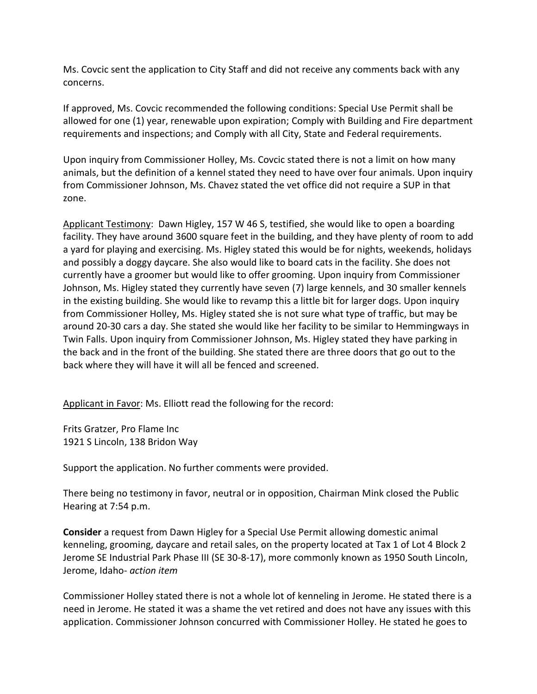Ms. Covcic sent the application to City Staff and did not receive any comments back with any concerns.

If approved, Ms. Covcic recommended the following conditions: Special Use Permit shall be allowed for one (1) year, renewable upon expiration; Comply with Building and Fire department requirements and inspections; and Comply with all City, State and Federal requirements.

Upon inquiry from Commissioner Holley, Ms. Covcic stated there is not a limit on how many animals, but the definition of a kennel stated they need to have over four animals. Upon inquiry from Commissioner Johnson, Ms. Chavez stated the vet office did not require a SUP in that zone.

Applicant Testimony: Dawn Higley, 157 W 46 S, testified, she would like to open a boarding facility. They have around 3600 square feet in the building, and they have plenty of room to add a yard for playing and exercising. Ms. Higley stated this would be for nights, weekends, holidays and possibly a doggy daycare. She also would like to board cats in the facility. She does not currently have a groomer but would like to offer grooming. Upon inquiry from Commissioner Johnson, Ms. Higley stated they currently have seven (7) large kennels, and 30 smaller kennels in the existing building. She would like to revamp this a little bit for larger dogs. Upon inquiry from Commissioner Holley, Ms. Higley stated she is not sure what type of traffic, but may be around 20-30 cars a day. She stated she would like her facility to be similar to Hemmingways in Twin Falls. Upon inquiry from Commissioner Johnson, Ms. Higley stated they have parking in the back and in the front of the building. She stated there are three doors that go out to the back where they will have it will all be fenced and screened.

Applicant in Favor: Ms. Elliott read the following for the record:

Frits Gratzer, Pro Flame Inc 1921 S Lincoln, 138 Bridon Way

Support the application. No further comments were provided.

There being no testimony in favor, neutral or in opposition, Chairman Mink closed the Public Hearing at 7:54 p.m.

**Consider** a request from Dawn Higley for a Special Use Permit allowing domestic animal kenneling, grooming, daycare and retail sales, on the property located at Tax 1 of Lot 4 Block 2 Jerome SE Industrial Park Phase III (SE 30-8-17), more commonly known as 1950 South Lincoln, Jerome, Idaho- *action item*

Commissioner Holley stated there is not a whole lot of kenneling in Jerome. He stated there is a need in Jerome. He stated it was a shame the vet retired and does not have any issues with this application. Commissioner Johnson concurred with Commissioner Holley. He stated he goes to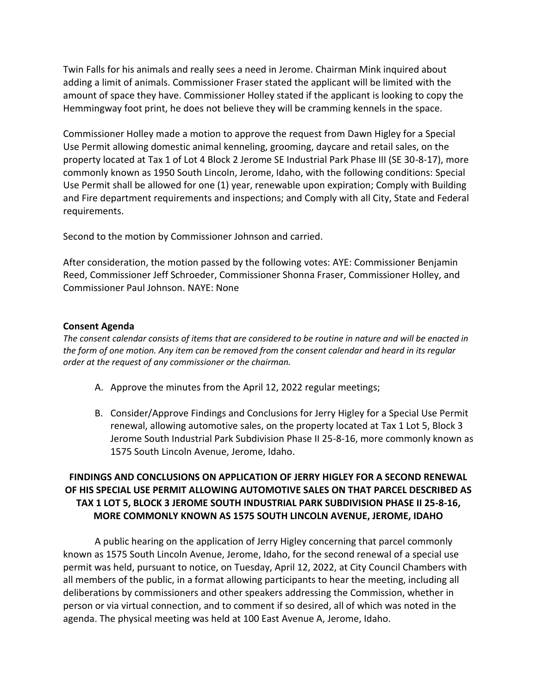Twin Falls for his animals and really sees a need in Jerome. Chairman Mink inquired about adding a limit of animals. Commissioner Fraser stated the applicant will be limited with the amount of space they have. Commissioner Holley stated if the applicant is looking to copy the Hemmingway foot print, he does not believe they will be cramming kennels in the space.

Commissioner Holley made a motion to approve the request from Dawn Higley for a Special Use Permit allowing domestic animal kenneling, grooming, daycare and retail sales, on the property located at Tax 1 of Lot 4 Block 2 Jerome SE Industrial Park Phase III (SE 30-8-17), more commonly known as 1950 South Lincoln, Jerome, Idaho, with the following conditions: Special Use Permit shall be allowed for one (1) year, renewable upon expiration; Comply with Building and Fire department requirements and inspections; and Comply with all City, State and Federal requirements.

Second to the motion by Commissioner Johnson and carried.

After consideration, the motion passed by the following votes: AYE: Commissioner Benjamin Reed, Commissioner Jeff Schroeder, Commissioner Shonna Fraser, Commissioner Holley, and Commissioner Paul Johnson. NAYE: None

#### **Consent Agenda**

*The consent calendar consists of items that are considered to be routine in nature and will be enacted in the form of one motion. Any item can be removed from the consent calendar and heard in its regular order at the request of any commissioner or the chairman.* 

- A. Approve the minutes from the April 12, 2022 regular meetings;
- B. Consider/Approve Findings and Conclusions for Jerry Higley for a Special Use Permit renewal, allowing automotive sales, on the property located at Tax 1 Lot 5, Block 3 Jerome South Industrial Park Subdivision Phase II 25-8-16, more commonly known as 1575 South Lincoln Avenue, Jerome, Idaho.

## **FINDINGS AND CONCLUSIONS ON APPLICATION OF JERRY HIGLEY FOR A SECOND RENEWAL OF HIS SPECIAL USE PERMIT ALLOWING AUTOMOTIVE SALES ON THAT PARCEL DESCRIBED AS TAX 1 LOT 5, BLOCK 3 JEROME SOUTH INDUSTRIAL PARK SUBDIVISION PHASE II 25-8-16, MORE COMMONLY KNOWN AS 1575 SOUTH LINCOLN AVENUE, JEROME, IDAHO**

A public hearing on the application of Jerry Higley concerning that parcel commonly known as 1575 South Lincoln Avenue, Jerome, Idaho, for the second renewal of a special use permit was held, pursuant to notice, on Tuesday, April 12, 2022, at City Council Chambers with all members of the public, in a format allowing participants to hear the meeting, including all deliberations by commissioners and other speakers addressing the Commission, whether in person or via virtual connection, and to comment if so desired, all of which was noted in the agenda. The physical meeting was held at 100 East Avenue A, Jerome, Idaho.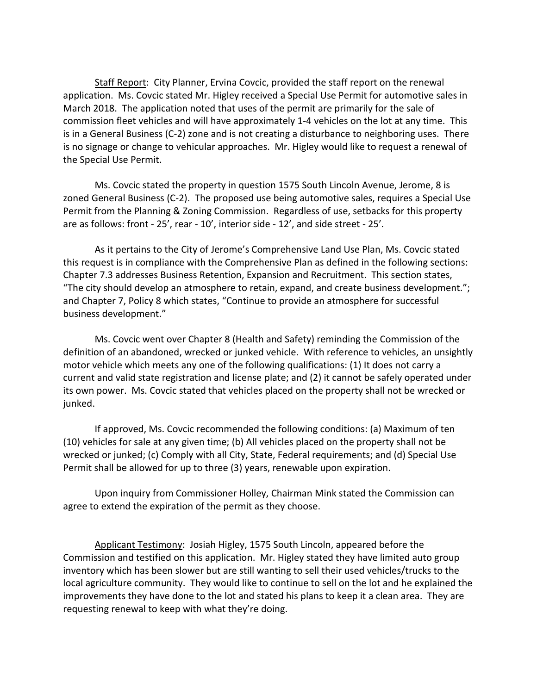Staff Report: City Planner, Ervina Covcic, provided the staff report on the renewal application. Ms. Covcic stated Mr. Higley received a Special Use Permit for automotive sales in March 2018. The application noted that uses of the permit are primarily for the sale of commission fleet vehicles and will have approximately 1-4 vehicles on the lot at any time. This is in a General Business (C-2) zone and is not creating a disturbance to neighboring uses. There is no signage or change to vehicular approaches. Mr. Higley would like to request a renewal of the Special Use Permit.

Ms. Covcic stated the property in question 1575 South Lincoln Avenue, Jerome, 8 is zoned General Business (C-2). The proposed use being automotive sales, requires a Special Use Permit from the Planning & Zoning Commission. Regardless of use, setbacks for this property are as follows: front - 25', rear - 10', interior side - 12', and side street - 25'.

As it pertains to the City of Jerome's Comprehensive Land Use Plan, Ms. Covcic stated this request is in compliance with the Comprehensive Plan as defined in the following sections: Chapter 7.3 addresses Business Retention, Expansion and Recruitment. This section states, "The city should develop an atmosphere to retain, expand, and create business development."; and Chapter 7, Policy 8 which states, "Continue to provide an atmosphere for successful business development."

Ms. Covcic went over Chapter 8 (Health and Safety) reminding the Commission of the definition of an abandoned, wrecked or junked vehicle. With reference to vehicles, an unsightly motor vehicle which meets any one of the following qualifications: (1) It does not carry a current and valid state registration and license plate; and (2) it cannot be safely operated under its own power. Ms. Covcic stated that vehicles placed on the property shall not be wrecked or junked.

If approved, Ms. Covcic recommended the following conditions: (a) Maximum of ten (10) vehicles for sale at any given time; (b) All vehicles placed on the property shall not be wrecked or junked; (c) Comply with all City, State, Federal requirements; and (d) Special Use Permit shall be allowed for up to three (3) years, renewable upon expiration.

Upon inquiry from Commissioner Holley, Chairman Mink stated the Commission can agree to extend the expiration of the permit as they choose.

Applicant Testimony: Josiah Higley, 1575 South Lincoln, appeared before the Commission and testified on this application. Mr. Higley stated they have limited auto group inventory which has been slower but are still wanting to sell their used vehicles/trucks to the local agriculture community. They would like to continue to sell on the lot and he explained the improvements they have done to the lot and stated his plans to keep it a clean area. They are requesting renewal to keep with what they're doing.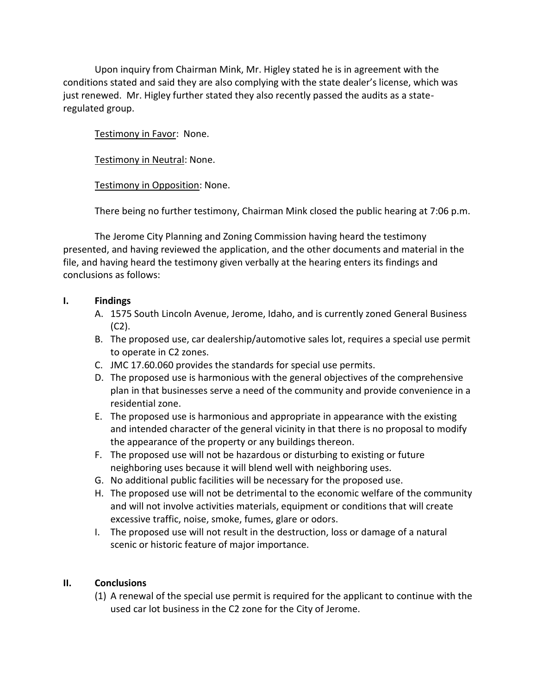Upon inquiry from Chairman Mink, Mr. Higley stated he is in agreement with the conditions stated and said they are also complying with the state dealer's license, which was just renewed. Mr. Higley further stated they also recently passed the audits as a stateregulated group.

Testimony in Favor: None.

Testimony in Neutral: None.

Testimony in Opposition: None.

There being no further testimony, Chairman Mink closed the public hearing at 7:06 p.m.

The Jerome City Planning and Zoning Commission having heard the testimony presented, and having reviewed the application, and the other documents and material in the file, and having heard the testimony given verbally at the hearing enters its findings and conclusions as follows:

### **I. Findings**

- A. 1575 South Lincoln Avenue, Jerome, Idaho, and is currently zoned General Business (C2).
- B. The proposed use, car dealership/automotive sales lot, requires a special use permit to operate in C2 zones.
- C. JMC 17.60.060 provides the standards for special use permits.
- D. The proposed use is harmonious with the general objectives of the comprehensive plan in that businesses serve a need of the community and provide convenience in a residential zone.
- E. The proposed use is harmonious and appropriate in appearance with the existing and intended character of the general vicinity in that there is no proposal to modify the appearance of the property or any buildings thereon.
- F. The proposed use will not be hazardous or disturbing to existing or future neighboring uses because it will blend well with neighboring uses.
- G. No additional public facilities will be necessary for the proposed use.
- H. The proposed use will not be detrimental to the economic welfare of the community and will not involve activities materials, equipment or conditions that will create excessive traffic, noise, smoke, fumes, glare or odors.
- I. The proposed use will not result in the destruction, loss or damage of a natural scenic or historic feature of major importance.

# **II. Conclusions**

(1) A renewal of the special use permit is required for the applicant to continue with the used car lot business in the C2 zone for the City of Jerome.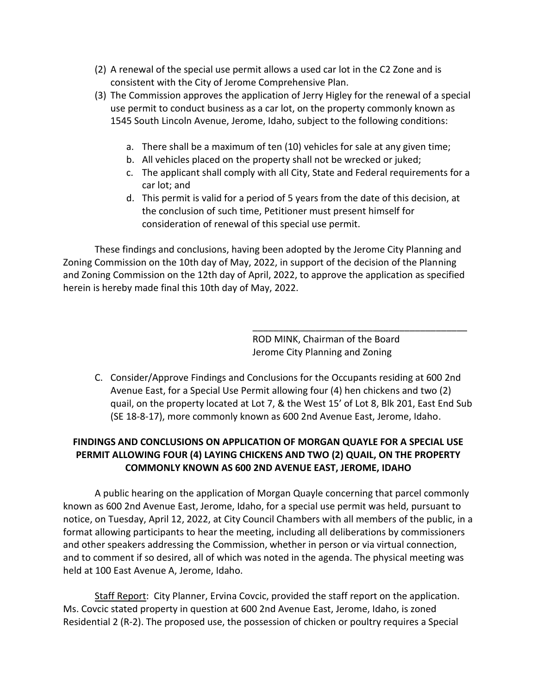- (2) A renewal of the special use permit allows a used car lot in the C2 Zone and is consistent with the City of Jerome Comprehensive Plan.
- (3) The Commission approves the application of Jerry Higley for the renewal of a special use permit to conduct business as a car lot, on the property commonly known as 1545 South Lincoln Avenue, Jerome, Idaho, subject to the following conditions:
	- a. There shall be a maximum of ten (10) vehicles for sale at any given time;
	- b. All vehicles placed on the property shall not be wrecked or juked;
	- c. The applicant shall comply with all City, State and Federal requirements for a car lot; and
	- d. This permit is valid for a period of 5 years from the date of this decision, at the conclusion of such time, Petitioner must present himself for consideration of renewal of this special use permit.

These findings and conclusions, having been adopted by the Jerome City Planning and Zoning Commission on the 10th day of May, 2022, in support of the decision of the Planning and Zoning Commission on the 12th day of April, 2022, to approve the application as specified herein is hereby made final this 10th day of May, 2022.

> ROD MINK, Chairman of the Board Jerome City Planning and Zoning

\_\_\_\_\_\_\_\_\_\_\_\_\_\_\_\_\_\_\_\_\_\_\_\_\_\_\_\_\_\_\_\_\_\_\_\_\_\_\_\_\_

C. Consider/Approve Findings and Conclusions for the Occupants residing at 600 2nd Avenue East, for a Special Use Permit allowing four (4) hen chickens and two (2) quail, on the property located at Lot 7, & the West 15' of Lot 8, Blk 201, East End Sub (SE 18-8-17), more commonly known as 600 2nd Avenue East, Jerome, Idaho.

# **FINDINGS AND CONCLUSIONS ON APPLICATION OF MORGAN QUAYLE FOR A SPECIAL USE PERMIT ALLOWING FOUR (4) LAYING CHICKENS AND TWO (2) QUAIL, ON THE PROPERTY COMMONLY KNOWN AS 600 2ND AVENUE EAST, JEROME, IDAHO**

A public hearing on the application of Morgan Quayle concerning that parcel commonly known as 600 2nd Avenue East, Jerome, Idaho, for a special use permit was held, pursuant to notice, on Tuesday, April 12, 2022, at City Council Chambers with all members of the public, in a format allowing participants to hear the meeting, including all deliberations by commissioners and other speakers addressing the Commission, whether in person or via virtual connection, and to comment if so desired, all of which was noted in the agenda. The physical meeting was held at 100 East Avenue A, Jerome, Idaho.

Staff Report: City Planner, Ervina Covcic, provided the staff report on the application. Ms. Covcic stated property in question at 600 2nd Avenue East, Jerome, Idaho, is zoned Residential 2 (R-2). The proposed use, the possession of chicken or poultry requires a Special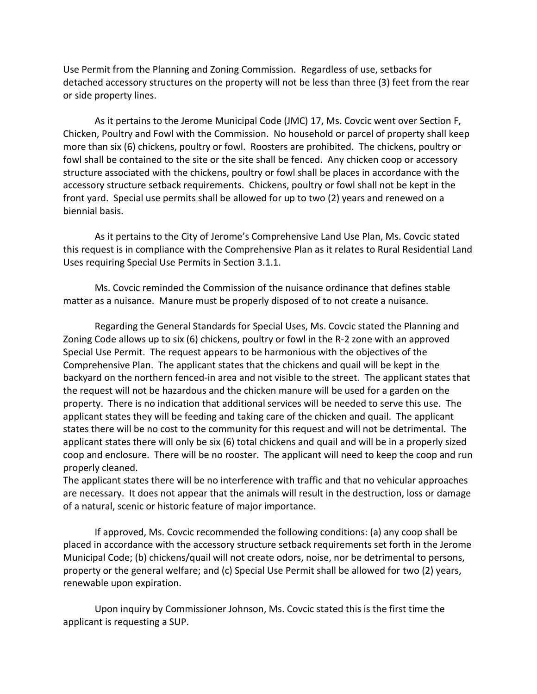Use Permit from the Planning and Zoning Commission. Regardless of use, setbacks for detached accessory structures on the property will not be less than three (3) feet from the rear or side property lines.

As it pertains to the Jerome Municipal Code (JMC) 17, Ms. Covcic went over Section F, Chicken, Poultry and Fowl with the Commission. No household or parcel of property shall keep more than six (6) chickens, poultry or fowl. Roosters are prohibited. The chickens, poultry or fowl shall be contained to the site or the site shall be fenced. Any chicken coop or accessory structure associated with the chickens, poultry or fowl shall be places in accordance with the accessory structure setback requirements. Chickens, poultry or fowl shall not be kept in the front yard. Special use permits shall be allowed for up to two (2) years and renewed on a biennial basis.

As it pertains to the City of Jerome's Comprehensive Land Use Plan, Ms. Covcic stated this request is in compliance with the Comprehensive Plan as it relates to Rural Residential Land Uses requiring Special Use Permits in Section 3.1.1.

Ms. Covcic reminded the Commission of the nuisance ordinance that defines stable matter as a nuisance. Manure must be properly disposed of to not create a nuisance.

Regarding the General Standards for Special Uses, Ms. Covcic stated the Planning and Zoning Code allows up to six (6) chickens, poultry or fowl in the R-2 zone with an approved Special Use Permit. The request appears to be harmonious with the objectives of the Comprehensive Plan. The applicant states that the chickens and quail will be kept in the backyard on the northern fenced-in area and not visible to the street. The applicant states that the request will not be hazardous and the chicken manure will be used for a garden on the property. There is no indication that additional services will be needed to serve this use. The applicant states they will be feeding and taking care of the chicken and quail. The applicant states there will be no cost to the community for this request and will not be detrimental. The applicant states there will only be six (6) total chickens and quail and will be in a properly sized coop and enclosure. There will be no rooster. The applicant will need to keep the coop and run properly cleaned.

The applicant states there will be no interference with traffic and that no vehicular approaches are necessary. It does not appear that the animals will result in the destruction, loss or damage of a natural, scenic or historic feature of major importance.

If approved, Ms. Covcic recommended the following conditions: (a) any coop shall be placed in accordance with the accessory structure setback requirements set forth in the Jerome Municipal Code; (b) chickens/quail will not create odors, noise, nor be detrimental to persons, property or the general welfare; and (c) Special Use Permit shall be allowed for two (2) years, renewable upon expiration.

Upon inquiry by Commissioner Johnson, Ms. Covcic stated this is the first time the applicant is requesting a SUP.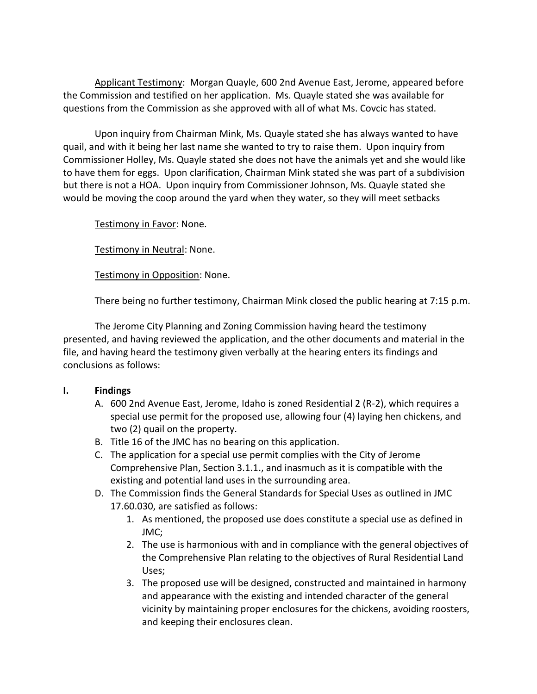Applicant Testimony: Morgan Quayle, 600 2nd Avenue East, Jerome, appeared before the Commission and testified on her application. Ms. Quayle stated she was available for questions from the Commission as she approved with all of what Ms. Covcic has stated.

Upon inquiry from Chairman Mink, Ms. Quayle stated she has always wanted to have quail, and with it being her last name she wanted to try to raise them. Upon inquiry from Commissioner Holley, Ms. Quayle stated she does not have the animals yet and she would like to have them for eggs. Upon clarification, Chairman Mink stated she was part of a subdivision but there is not a HOA. Upon inquiry from Commissioner Johnson, Ms. Quayle stated she would be moving the coop around the yard when they water, so they will meet setbacks

Testimony in Favor: None.

Testimony in Neutral: None.

Testimony in Opposition: None.

There being no further testimony, Chairman Mink closed the public hearing at 7:15 p.m.

The Jerome City Planning and Zoning Commission having heard the testimony presented, and having reviewed the application, and the other documents and material in the file, and having heard the testimony given verbally at the hearing enters its findings and conclusions as follows:

### **I. Findings**

- A. 600 2nd Avenue East, Jerome, Idaho is zoned Residential 2 (R-2), which requires a special use permit for the proposed use, allowing four (4) laying hen chickens, and two (2) quail on the property.
- B. Title 16 of the JMC has no bearing on this application.
- C. The application for a special use permit complies with the City of Jerome Comprehensive Plan, Section 3.1.1., and inasmuch as it is compatible with the existing and potential land uses in the surrounding area.
- D. The Commission finds the General Standards for Special Uses as outlined in JMC 17.60.030, are satisfied as follows:
	- 1. As mentioned, the proposed use does constitute a special use as defined in JMC;
	- 2. The use is harmonious with and in compliance with the general objectives of the Comprehensive Plan relating to the objectives of Rural Residential Land Uses;
	- 3. The proposed use will be designed, constructed and maintained in harmony and appearance with the existing and intended character of the general vicinity by maintaining proper enclosures for the chickens, avoiding roosters, and keeping their enclosures clean.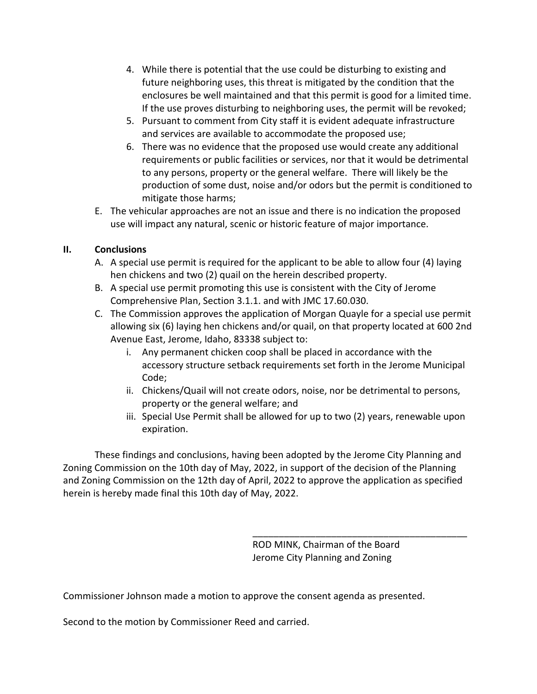- 4. While there is potential that the use could be disturbing to existing and future neighboring uses, this threat is mitigated by the condition that the enclosures be well maintained and that this permit is good for a limited time. If the use proves disturbing to neighboring uses, the permit will be revoked;
- 5. Pursuant to comment from City staff it is evident adequate infrastructure and services are available to accommodate the proposed use;
- 6. There was no evidence that the proposed use would create any additional requirements or public facilities or services, nor that it would be detrimental to any persons, property or the general welfare. There will likely be the production of some dust, noise and/or odors but the permit is conditioned to mitigate those harms;
- E. The vehicular approaches are not an issue and there is no indication the proposed use will impact any natural, scenic or historic feature of major importance.

## **II. Conclusions**

- A. A special use permit is required for the applicant to be able to allow four (4) laying hen chickens and two (2) quail on the herein described property.
- B. A special use permit promoting this use is consistent with the City of Jerome Comprehensive Plan, Section 3.1.1. and with JMC 17.60.030.
- C. The Commission approves the application of Morgan Quayle for a special use permit allowing six (6) laying hen chickens and/or quail, on that property located at 600 2nd Avenue East, Jerome, Idaho, 83338 subject to:
	- i. Any permanent chicken coop shall be placed in accordance with the accessory structure setback requirements set forth in the Jerome Municipal Code;
	- ii. Chickens/Quail will not create odors, noise, nor be detrimental to persons, property or the general welfare; and
	- iii. Special Use Permit shall be allowed for up to two (2) years, renewable upon expiration.

These findings and conclusions, having been adopted by the Jerome City Planning and Zoning Commission on the 10th day of May, 2022, in support of the decision of the Planning and Zoning Commission on the 12th day of April, 2022 to approve the application as specified herein is hereby made final this 10th day of May, 2022.

> ROD MINK, Chairman of the Board Jerome City Planning and Zoning

\_\_\_\_\_\_\_\_\_\_\_\_\_\_\_\_\_\_\_\_\_\_\_\_\_\_\_\_\_\_\_\_\_\_\_\_\_\_\_\_\_

Commissioner Johnson made a motion to approve the consent agenda as presented.

Second to the motion by Commissioner Reed and carried.